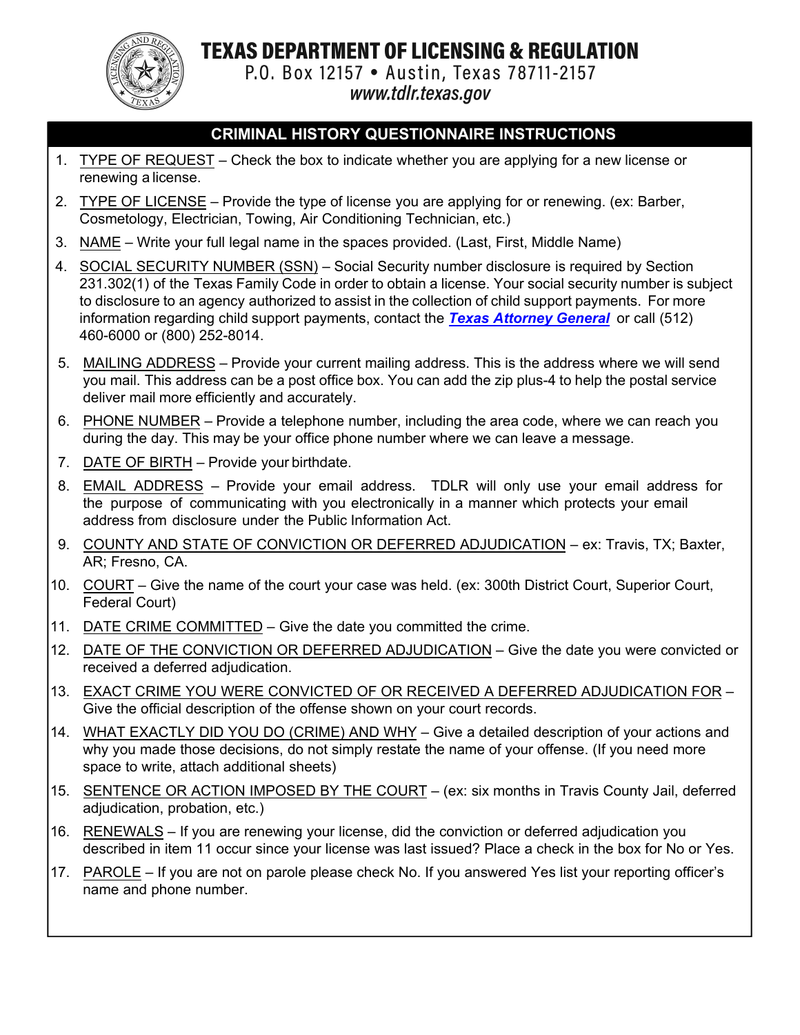TEXAS DEPARTMENT OF LICENSING & REGULATION



P.O. Box 12157 . Austin, Texas 78711-2157

www.tdlr.texas.gov

## **CRIMINAL HISTORY QUESTIONNAIRE INSTRUCTIONS**

- 1. TYPE OF REQUEST Check the box to indicate whether you are applying for a new license or renewing a license.
- 2. TYPE OF LICENSE Provide the type of license you are applying for or renewing. (ex: Barber, Cosmetology, Electrician, Towing, Air Conditioning Technician, etc.)
- 3. NAME Write your full legal name in the spaces provided. (Last, First, Middle Name)
- 4. SOCIAL SECURITY NUMBER (SSN) Social Security number disclosure is required by Section 231.302(1) of the Texas Family Code in order to obtain a license. Your social security number is subject to disclosure to an agency authorized to assist in the collection of child support payments. For more information rega[rding child support](http://www.texasattorneygeneral.gov/cs) payments, contact the *[Texas Attorney General](www.texasattorneygeneral.gov/cs)* or call (512) 460-6000 or (800) 252-8014.
- 5. MAILING ADDRESS Provide your current mailing address. This is the address where we will send you mail. This address can be a post office box. You can add the zip plus-4 to help the postal service deliver mail more efficiently and accurately.
- 6. PHONE NUMBER Provide a telephone number, including the area code, where we can reach you during the day. This may be your office phone number where we can leave a message.
- 7. DATE OF BIRTH Provide your birthdate.
- 8. EMAIL ADDRESS Provide your email address. TDLR will only use your email address for the purpose of communicating with you electronically in a manner which protects your email address from disclosure under the Public Information Act.
- 9. COUNTY AND STATE OF CONVICTION OR DEFERRED ADJUDICATION ex: Travis, TX; Baxter, AR; Fresno, CA.
- 10. COURT Give the name of the court your case was held. (ex: 300th District Court, Superior Court, Federal Court)
- 11. DATE CRIME COMMITTED Give the date you committed the crime.
- 12. DATE OF THE CONVICTION OR DEFERRED ADJUDICATION Give the date you were convicted or received a deferred adjudication.
- 13. EXACT CRIME YOU WERE CONVICTED OF OR RECEIVED A DEFERRED ADJUDICATION FOR Give the official description of the offense shown on your court records.
- 14. WHAT EXACTLY DID YOU DO (CRIME) AND WHY Give a detailed description of your actions and why you made those decisions, do not simply restate the name of your offense. (If you need more space to write, attach additional sheets)
- 15. SENTENCE OR ACTION IMPOSED BY THE COURT (ex: six months in Travis County Jail, deferred adjudication, probation, etc.)
- 16. RENEWALS If you are renewing your license, did the conviction or deferred adjudication you described in item 11 occur since your license was last issued? Place a check in the box for No or Yes.
- 17. PAROLE If you are not on parole please check No. If you answered Yes list your reporting officer's name and phone number.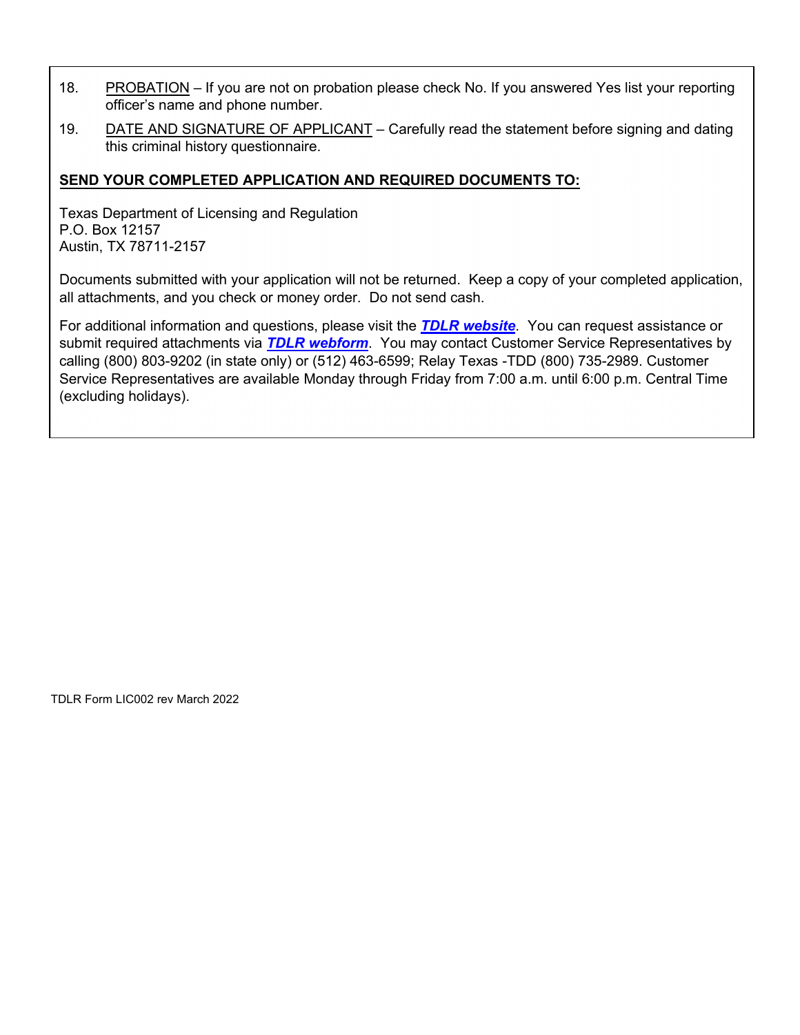- 18. PROBATION If you are not on probation please check No. If you answered Yes list your reporting officer's name and phone number.
- 19. DATE AND SIGNATURE OF APPLICANT Carefully read the statement before signing and dating this criminal history questionnaire.

## **SEND YOUR COMPLETED APPLICATION AND REQUIRED DOCUMENTS TO:**

Texas Department of Licensing and Regulation P.O. Box 12157 Austin, TX 78711-2157

Documents submitted with your application will not be returned. Keep a copy of your completed application, all attachments, and you check or money order. Do not send cash.

For additional information and questions, please visit the *[TDLR website](https://www.tdlr.texas.gov)*. You can request assistance or submit required attachments via *[TDLR webform](https://www.tdlr.texas.gov/help)*. You may contact Customer Service Representatives by calling (800) 803-9202 (in state only) or (512) 463-6599; Relay Texas -TDD (800) 735-2989. Customer Service Representatives are available Monday through Friday from 7:00 a.m. until 6:00 p.m. Central Time (excluding holidays).

TDLR Form LIC002 rev March 2022